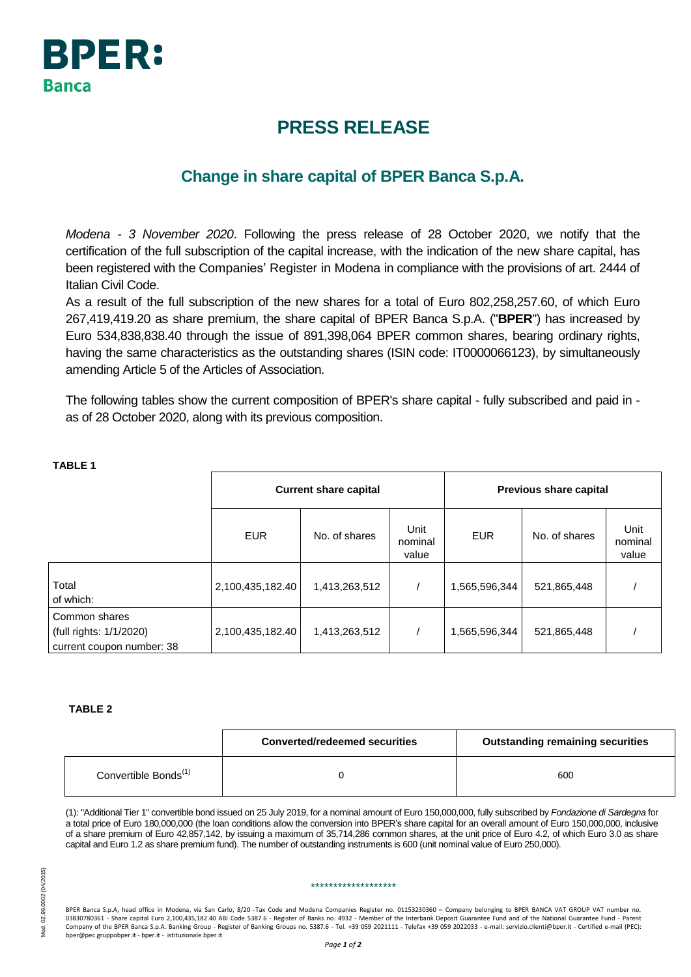

# **PRESS RELEASE**

## **Change in share capital of BPER Banca S.p.A.**

*Modena - 3 November 2020*. Following the press release of 28 October 2020, we notify that the certification of the full subscription of the capital increase, with the indication of the new share capital, has been registered with the Companies' Register in Modena in compliance with the provisions of art. 2444 of Italian Civil Code.

As a result of the full subscription of the new shares for a total of Euro 802,258,257.60, of which Euro 267,419,419.20 as share premium, the share capital of BPER Banca S.p.A. ("**BPER**") has increased by Euro 534,838,838.40 through the issue of 891,398,064 BPER common shares, bearing ordinary rights, having the same characteristics as the outstanding shares (ISIN code: IT0000066123), by simultaneously amending Article 5 of the Articles of Association.

The following tables show the current composition of BPER's share capital - fully subscribed and paid in as of 28 October 2020, along with its previous composition.

|                                                                       | <b>Current share capital</b> |               |                          | Previous share capital |               |                          |
|-----------------------------------------------------------------------|------------------------------|---------------|--------------------------|------------------------|---------------|--------------------------|
|                                                                       | <b>EUR</b>                   | No. of shares | Unit<br>nominal<br>value | <b>EUR</b>             | No. of shares | Unit<br>nominal<br>value |
| Total<br>of which:                                                    | 2,100,435,182.40             | 1,413,263,512 |                          | 1,565,596,344          | 521,865,448   |                          |
| Common shares<br>(full rights: 1/1/2020)<br>current coupon number: 38 | 2,100,435,182.40             | 1,413,263,512 |                          | 1,565,596,344          | 521,865,448   |                          |

### **TABLE 1**

#### **TABLE 2**

|                                  | <b>Converted/redeemed securities</b> | <b>Outstanding remaining securities</b> |
|----------------------------------|--------------------------------------|-----------------------------------------|
| Convertible Bonds <sup>(1)</sup> |                                      | 600                                     |

(1): "Additional Tier 1" convertible bond issued on 25 July 2019, for a nominal amount of Euro 150,000,000, fully subscribed by *Fondazione di Sardegna* for a total price of Euro 180,000,000 (the loan conditions allow the conversion into BPER's share capital for an overall amount of Euro 150,000,000, inclusive of a share premium of Euro 42,857,142, by issuing a maximum of 35,714,286 common shares, at the unit price of Euro 4.2, of which Euro 3.0 as share capital and Euro 1.2 as share premium fund). The number of outstanding instruments is 600 (unit nominal value of Euro 250,000).

#### \*\*\*\*\*\*\*\*\*\*\*\*\*\*\*\*\*\*\*

BPER Banca S.p.A, head office in Modena, via San Carlo, 8/20 -Tax Code and Modena Companies Register no. 01153230360 – Company belonging to BPER BANCA VAT GROUP VAT number no 03830780361 - Share capital Euro 2,100,435,182.40 ABI Code 5387.6 - Register of Banks no. 4932 - Member of the Interbank Deposit Guarantee Fund and of the National Guarantee Fund - Parent Company of the BPER Banca S.p.A. Banking Group - Register of Banking Groups no. 5387.6 - Tel. +39 059 2021111 - Telefax +39 059 2022033 - e-mail: servizio.clienti@bper.it - Certified e-mail (PEC): bper@pec.gruppobper.it - bper.it - istituzionale.bper.it